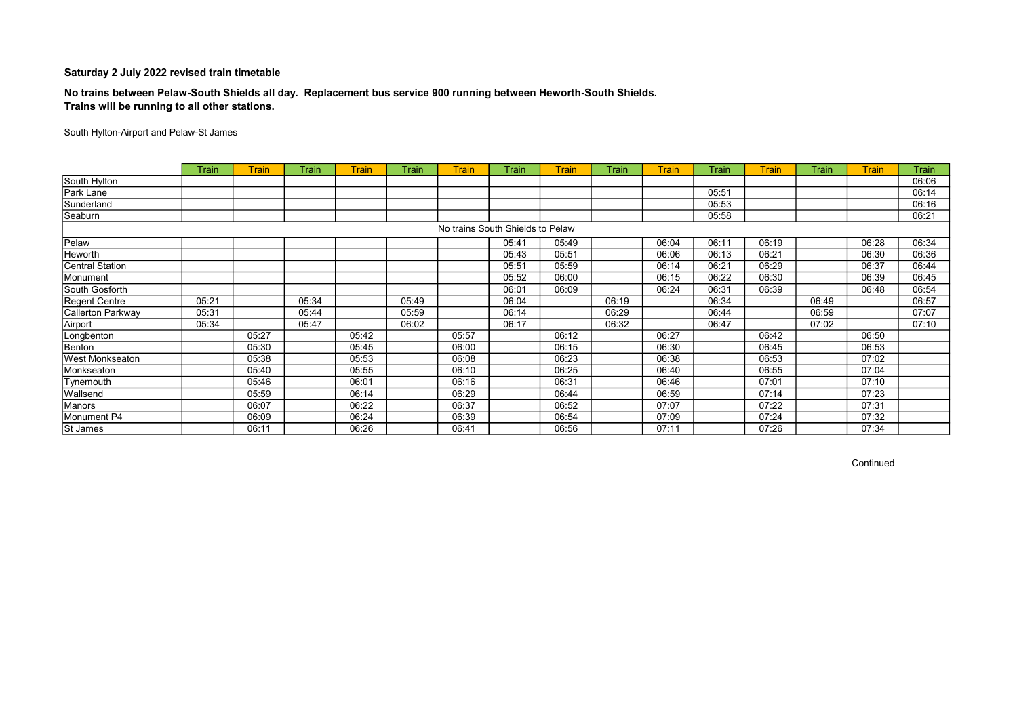## No trains between Pelaw-South Shields all day. Replacement bus service 900 running between Heworth-South Shields. Trains will be running to all other stations.

South Hylton-Airport and Pelaw-St James

|                        | Train | <b>Train</b> | Train | <b>Train</b> | Train | <b>Train</b>                     | Train | <b>Train</b> | Train | <b>Train</b> | Train | <b>Train</b> | Train | <b>Train</b> | Train |
|------------------------|-------|--------------|-------|--------------|-------|----------------------------------|-------|--------------|-------|--------------|-------|--------------|-------|--------------|-------|
| South Hylton           |       |              |       |              |       |                                  |       |              |       |              |       |              |       |              | 06:06 |
| Park Lane              |       |              |       |              |       |                                  |       |              |       |              | 05:51 |              |       |              | 06:14 |
| Sunderland             |       |              |       |              |       |                                  |       |              |       |              | 05:53 |              |       |              | 06:16 |
| Seaburn                |       |              |       |              |       |                                  |       |              |       |              | 05:58 |              |       |              | 06:21 |
|                        |       |              |       |              |       | No trains South Shields to Pelaw |       |              |       |              |       |              |       |              |       |
| Pelaw                  |       |              |       |              |       |                                  | 05:41 | 05:49        |       | 06:04        | 06:11 | 06:19        |       | 06:28        | 06:34 |
| Heworth                |       |              |       |              |       |                                  | 05:43 | 05:51        |       | 06:06        | 06:13 | 06:21        |       | 06:30        | 06:36 |
| <b>Central Station</b> |       |              |       |              |       |                                  | 05:51 | 05:59        |       | 06:14        | 06:21 | 06:29        |       | 06:37        | 06:44 |
| Monument               |       |              |       |              |       |                                  | 05:52 | 06:00        |       | 06:15        | 06:22 | 06:30        |       | 06:39        | 06:45 |
| South Gosforth         |       |              |       |              |       |                                  | 06:01 | 06:09        |       | 06:24        | 06:31 | 06:39        |       | 06:48        | 06:54 |
| Regent Centre          | 05:21 |              | 05:34 |              | 05:49 |                                  | 06:04 |              | 06:19 |              | 06:34 |              | 06:49 |              | 06:57 |
| Callerton Parkway      | 05:31 |              | 05:44 |              | 05:59 |                                  | 06:14 |              | 06:29 |              | 06:44 |              | 06:59 |              | 07:07 |
| Airport                | 05:34 |              | 05:47 |              | 06:02 |                                  | 06:17 |              | 06:32 |              | 06:47 |              | 07:02 |              | 07:10 |
| Longbenton             |       | 05:27        |       | 05:42        |       | 05:57                            |       | 06:12        |       | 06:27        |       | 06:42        |       | 06:50        |       |
| Benton                 |       | 05:30        |       | 05:45        |       | 06:00                            |       | 06:15        |       | 06:30        |       | 06:45        |       | 06:53        |       |
| West Monkseaton        |       | 05:38        |       | 05:53        |       | 06:08                            |       | 06:23        |       | 06:38        |       | 06:53        |       | 07:02        |       |
| Monkseaton             |       | 05:40        |       | 05:55        |       | 06:10                            |       | 06:25        |       | 06:40        |       | 06:55        |       | 07:04        |       |
| Tynemouth              |       | 05:46        |       | 06:01        |       | 06:16                            |       | 06:31        |       | 06:46        |       | 07:01        |       | 07:10        |       |
| Wallsend               |       | 05:59        |       | 06:14        |       | 06:29                            |       | 06:44        |       | 06:59        |       | 07:14        |       | 07:23        |       |
| Manors                 |       | 06:07        |       | 06:22        |       | 06:37                            |       | 06:52        |       | 07:07        |       | 07:22        |       | 07:31        |       |
| Monument P4            |       | 06:09        |       | 06:24        |       | 06:39                            |       | 06:54        |       | 07:09        |       | 07:24        |       | 07:32        |       |
| St James               |       | 06:11        |       | 06:26        |       | 06:41                            |       | 06:56        |       | 07:11        |       | 07:26        |       | 07:34        |       |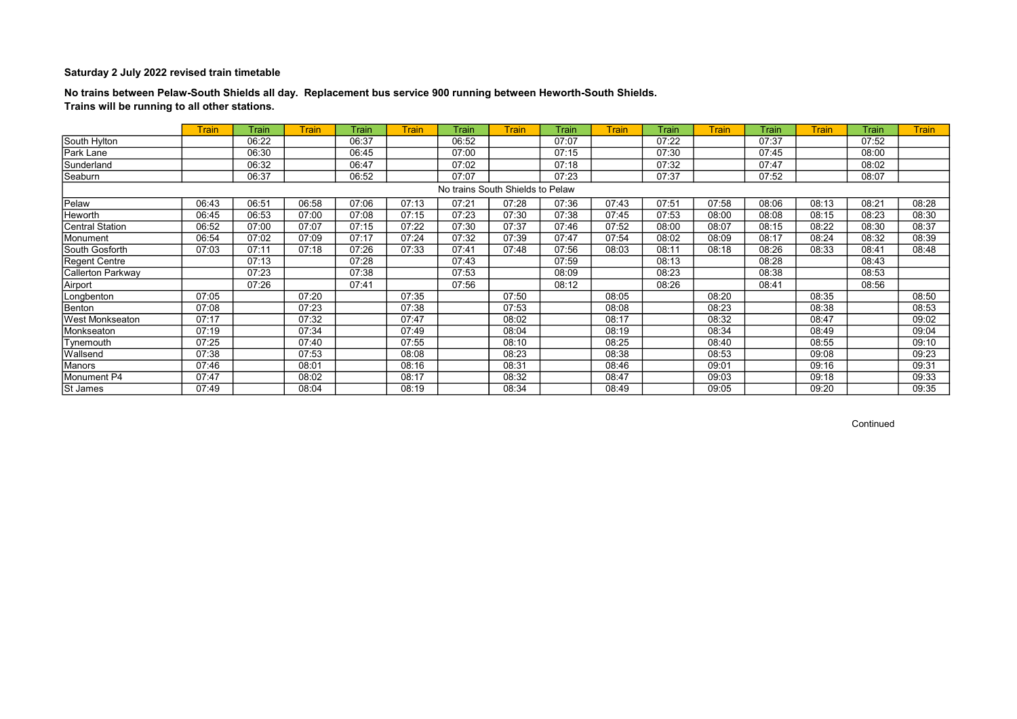## No trains between Pelaw-South Shields all day. Replacement bus service 900 running between Heworth-South Shields. Trains will be running to all other stations.

|                        | <b>Train</b> | Train | <b>Train</b> | Train | <b>Train</b> | Train                            | <b>Train</b> | Train | <b>Train</b> | Train | <b>Train</b> | Train | <b>Train</b> | Train | <b>Train</b> |
|------------------------|--------------|-------|--------------|-------|--------------|----------------------------------|--------------|-------|--------------|-------|--------------|-------|--------------|-------|--------------|
| South Hylton           |              | 06:22 |              | 06:37 |              | 06:52                            |              | 07:07 |              | 07:22 |              | 07:37 |              | 07:52 |              |
| Park Lane              |              | 06:30 |              | 06:45 |              | 07:00                            |              | 07:15 |              | 07:30 |              | 07:45 |              | 08:00 |              |
| Sunderland             |              | 06:32 |              | 06:47 |              | 07:02                            |              | 07:18 |              | 07:32 |              | 07:47 |              | 08:02 |              |
| Seaburn                |              | 06:37 |              | 06:52 |              | 07:07                            |              | 07:23 |              | 07:37 |              | 07:52 |              | 08:07 |              |
|                        |              |       |              |       |              | No trains South Shields to Pelaw |              |       |              |       |              |       |              |       |              |
| Pelaw                  | 06:43        | 06:51 | 06:58        | 07:06 | 07:13        | 07:21                            | 07:28        | 07:36 | 07:43        | 07:51 | 07:58        | 08:06 | 08:13        | 08:21 | 08:28        |
| Heworth                | 06:45        | 06:53 | 07:00        | 07:08 | 07:15        | 07:23                            | 07:30        | 07:38 | 07:45        | 07:53 | 08:00        | 08:08 | 08:15        | 08:23 | 08:30        |
| Central Station        | 06:52        | 07:00 | 07:07        | 07:15 | 07:22        | 07:30                            | 07:37        | 07:46 | 07:52        | 08:00 | 08:07        | 08:15 | 08:22        | 08:30 | 08:37        |
| Monument               | 06:54        | 07:02 | 07:09        | 07:17 | 07:24        | 07:32                            | 07:39        | 07:47 | 07:54        | 08:02 | 08:09        | 08:17 | 08:24        | 08:32 | 08:39        |
| South Gosforth         | 07:03        | 07:11 | 07:18        | 07:26 | 07:33        | 07:41                            | 07:48        | 07:56 | 08:03        | 08:11 | 08:18        | 08:26 | 08:33        | 08:41 | 08:48        |
| <b>Regent Centre</b>   |              | 07:13 |              | 07:28 |              | 07:43                            |              | 07:59 |              | 08:13 |              | 08:28 |              | 08:43 |              |
| Callerton Parkway      |              | 07:23 |              | 07:38 |              | 07:53                            |              | 08:09 |              | 08:23 |              | 08:38 |              | 08:53 |              |
| Airport                |              | 07:26 |              | 07:41 |              | 07:56                            |              | 08:12 |              | 08:26 |              | 08:41 |              | 08:56 |              |
| Longbenton             | 07:05        |       | 07:20        |       | 07:35        |                                  | 07:50        |       | 08:05        |       | 08:20        |       | 08:35        |       | 08:50        |
| Benton                 | 07:08        |       | 07:23        |       | 07:38        |                                  | 07:53        |       | 08:08        |       | 08:23        |       | 08:38        |       | 08:53        |
| <b>West Monkseaton</b> | 07:17        |       | 07:32        |       | 07:47        |                                  | 08:02        |       | 08:17        |       | 08:32        |       | 08:47        |       | 09:02        |
| Monkseaton             | 07:19        |       | 07:34        |       | 07:49        |                                  | 08:04        |       | 08:19        |       | 08:34        |       | 08:49        |       | 09:04        |
| Tynemouth              | 07:25        |       | 07:40        |       | 07:55        |                                  | 08:10        |       | 08:25        |       | 08:40        |       | 08:55        |       | 09:10        |
| Wallsend               | 07:38        |       | 07:53        |       | 08:08        |                                  | 08:23        |       | 08:38        |       | 08:53        |       | 09:08        |       | 09:23        |
| Manors                 | 07:46        |       | 08:01        |       | 08:16        |                                  | 08:31        |       | 08:46        |       | 09:01        |       | 09:16        |       | 09:31        |
| Monument P4            | 07:47        |       | 08:02        |       | 08:17        |                                  | 08:32        |       | 08:47        |       | 09:03        |       | 09:18        |       | 09:33        |
| St James               | 07:49        |       | 08:04        |       | 08:19        |                                  | 08:34        |       | 08:49        |       | 09:05        |       | 09:20        |       | 09:35        |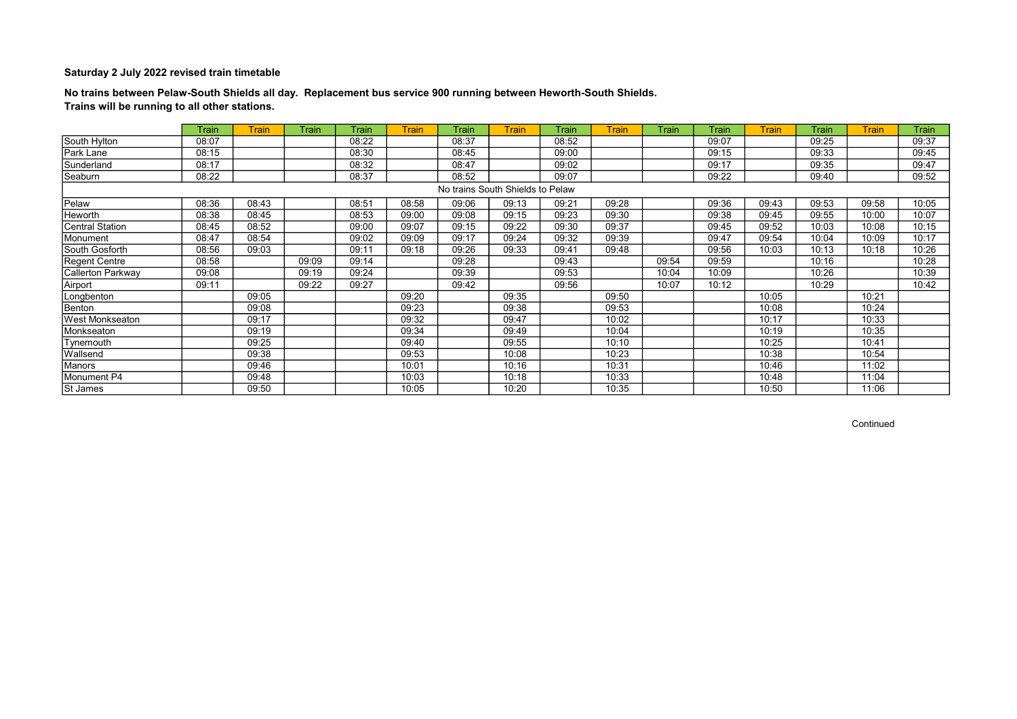## No trains between Pelaw-South Shields all day. Replacement bus service 900 running between Heworth-South Shields. Trains will be running to all other stations.

|                          | Train | Train | <b>Train</b> | Train | <b>Train</b> | Train                            | <b>Train</b> | Train | <b>Train</b> | Train | Train | <b>Train</b> | Train | <b>Train</b> | Train |
|--------------------------|-------|-------|--------------|-------|--------------|----------------------------------|--------------|-------|--------------|-------|-------|--------------|-------|--------------|-------|
| South Hylton             | 08:07 |       |              | 08:22 |              | 08:37                            |              | 08:52 |              |       | 09:07 |              | 09:25 |              | 09:37 |
| Park Lane                | 08:15 |       |              | 08:30 |              | 08:45                            |              | 09:00 |              |       | 09:15 |              | 09:33 |              | 09:45 |
| Sunderland               | 08:17 |       |              | 08:32 |              | 08:47                            |              | 09:02 |              |       | 09:17 |              | 09:35 |              | 09:47 |
| Seaburn                  | 08:22 |       |              | 08:37 |              | 08:52                            |              | 09:07 |              |       | 09:22 |              | 09:40 |              | 09:52 |
|                          |       |       |              |       |              | No trains South Shields to Pelaw |              |       |              |       |       |              |       |              |       |
| Pelaw                    | 08:36 | 08:43 |              | 08:51 | 08:58        | 09:06                            | 09:13        | 09:21 | 09:28        |       | 09:36 | 09:43        | 09:53 | 09:58        | 10:05 |
| Heworth                  | 08:38 | 08:45 |              | 08:53 | 09:00        | 09:08                            | 09:15        | 09:23 | 09:30        |       | 09:38 | 09:45        | 09:55 | 10:00        | 10:07 |
| <b>Central Station</b>   | 08:45 | 08:52 |              | 09:00 | 09:07        | 09:15                            | 09:22        | 09:30 | 09:37        |       | 09:45 | 09:52        | 10:03 | 10:08        | 10:15 |
| Monument                 | 08:47 | 08:54 |              | 09:02 | 09:09        | 09:17                            | 09:24        | 09:32 | 09:39        |       | 09:47 | 09:54        | 10:04 | 10:09        | 10:17 |
| South Gosforth           | 08:56 | 09:03 |              | 09:11 | 09:18        | 09:26                            | 09:33        | 09:41 | 09:48        |       | 09:56 | 10:03        | 10:13 | 10:18        | 10:26 |
| <b>Regent Centre</b>     | 08:58 |       | 09:09        | 09:14 |              | 09:28                            |              | 09:43 |              | 09:54 | 09:59 |              | 10:16 |              | 10:28 |
| <b>Callerton Parkway</b> | 09:08 |       | 09:19        | 09:24 |              | 09:39                            |              | 09:53 |              | 10:04 | 10:09 |              | 10:26 |              | 10:39 |
| Airport                  | 09:11 |       | 09:22        | 09:27 |              | 09:42                            |              | 09:56 |              | 10:07 | 10:12 |              | 10:29 |              | 10:42 |
| Longbenton               |       | 09:05 |              |       | 09:20        |                                  | 09:35        |       | 09:50        |       |       | 10:05        |       | 10:21        |       |
| Benton                   |       | 09:08 |              |       | 09:23        |                                  | 09:38        |       | 09:53        |       |       | 10:08        |       | 10:24        |       |
| West Monkseaton          |       | 09:17 |              |       | 09:32        |                                  | 09:47        |       | 10:02        |       |       | 10:17        |       | 10:33        |       |
| Monkseaton               |       | 09:19 |              |       | 09:34        |                                  | 09:49        |       | 10:04        |       |       | 10:19        |       | 10:35        |       |
| Tynemouth                |       | 09:25 |              |       | 09:40        |                                  | 09:55        |       | 10:10        |       |       | 10:25        |       | 10:41        |       |
| Wallsend                 |       | 09:38 |              |       | 09:53        |                                  | 10:08        |       | 10:23        |       |       | 10:38        |       | 10:54        |       |
| Manors                   |       | 09:46 |              |       | 10:01        |                                  | 10:16        |       | 10:31        |       |       | 10:46        |       | 11:02        |       |
| Monument P4              |       | 09:48 |              |       | 10:03        |                                  | 10:18        |       | 10:33        |       |       | 10:48        |       | 11:04        |       |
| St James                 |       | 09:50 |              |       | 10:05        |                                  | 10:20        |       | 10:35        |       |       | 10:50        |       | 11:06        |       |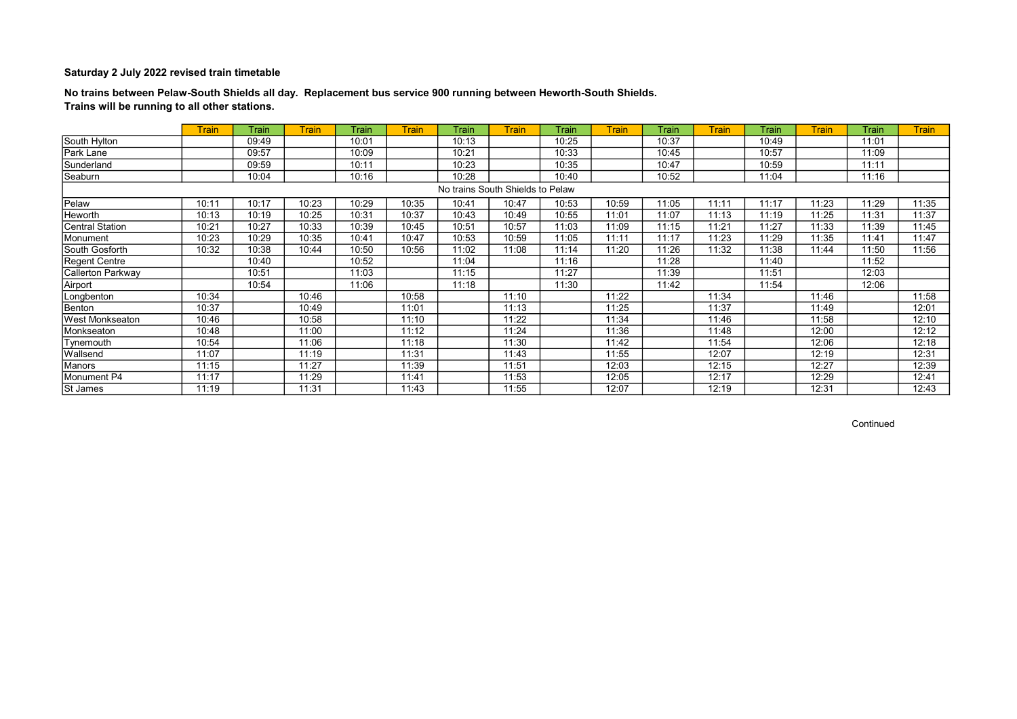## No trains between Pelaw-South Shields all day. Replacement bus service 900 running between Heworth-South Shields. Trains will be running to all other stations.

|                        | <b>Train</b> | Train | <b>Train</b> | Train | <b>Train</b> | Train                            | <b>Train</b> | Train | <b>Train</b> | Train | <b>Train</b> | Train | <b>Train</b> | Train | <b>Train</b> |
|------------------------|--------------|-------|--------------|-------|--------------|----------------------------------|--------------|-------|--------------|-------|--------------|-------|--------------|-------|--------------|
| South Hylton           |              | 09:49 |              | 10:01 |              | 10:13                            |              | 10:25 |              | 10:37 |              | 10:49 |              | 11:01 |              |
| Park Lane              |              | 09:57 |              | 10:09 |              | 10:21                            |              | 10:33 |              | 10:45 |              | 10:57 |              | 11:09 |              |
| Sunderland             |              | 09:59 |              | 10:11 |              | 10:23                            |              | 10:35 |              | 10:47 |              | 10:59 |              | 11:11 |              |
| Seaburn                |              | 10:04 |              | 10:16 |              | 10:28                            |              | 10:40 |              | 10:52 |              | 11:04 |              | 11:16 |              |
|                        |              |       |              |       |              | No trains South Shields to Pelaw |              |       |              |       |              |       |              |       |              |
| Pelaw                  | 10:11        | 10:17 | 10:23        | 10:29 | 10:35        | 10:41                            | 10:47        | 10:53 | 10:59        | 11:05 | 11:11        | 11:17 | 11:23        | 11:29 | 11:35        |
| Heworth                | 10:13        | 10:19 | 10:25        | 10:31 | 10:37        | 10:43                            | 10:49        | 10:55 | 11:01        | 11:07 | 11:13        | 11:19 | 11:25        | 11:31 | 11:37        |
| Central Station        | 10:21        | 10:27 | 10:33        | 10:39 | 10:45        | 10:51                            | 10:57        | 11:03 | 11:09        | 11:15 | 11:21        | 11:27 | 11:33        | 11:39 | 11:45        |
| Monument               | 10:23        | 10:29 | 10:35        | 10:41 | 10:47        | 10:53                            | 10:59        | 11:05 | 11:11        | 11:17 | 11:23        | 11:29 | 11:35        | 11:41 | 11:47        |
| South Gosforth         | 10:32        | 10:38 | 10:44        | 10:50 | 10:56        | 11:02                            | 11:08        | 11:14 | 11:20        | 11:26 | 11:32        | 11:38 | 11:44        | 11:50 | 11:56        |
| Regent Centre          |              | 10:40 |              | 10:52 |              | 11:04                            |              | 11:16 |              | 11:28 |              | 11:40 |              | 11:52 |              |
| Callerton Parkway      |              | 10:51 |              | 11:03 |              | 11:15                            |              | 11:27 |              | 11:39 |              | 11:51 |              | 12:03 |              |
| Airport                |              | 10:54 |              | 11:06 |              | 11:18                            |              | 11:30 |              | 11:42 |              | 11:54 |              | 12:06 |              |
| Longbenton             | 10:34        |       | 10:46        |       | 10:58        |                                  | 11:10        |       | 11:22        |       | 11:34        |       | 11:46        |       | 11:58        |
| Benton                 | 10:37        |       | 10:49        |       | 11:01        |                                  | 11:13        |       | 11:25        |       | 11:37        |       | 11:49        |       | 12:01        |
| <b>West Monkseaton</b> | 10:46        |       | 10:58        |       | 11:10        |                                  | 11:22        |       | 11:34        |       | 11:46        |       | 11:58        |       | 12:10        |
| Monkseaton             | 10:48        |       | 11:00        |       | 11:12        |                                  | 11:24        |       | 11:36        |       | 11:48        |       | 12:00        |       | 12:12        |
| Tynemouth              | 10:54        |       | 11:06        |       | 11:18        |                                  | 11:30        |       | 11:42        |       | 11:54        |       | 12:06        |       | 12:18        |
| Wallsend               | 11:07        |       | 11:19        |       | 11:31        |                                  | 11:43        |       | 11:55        |       | 12:07        |       | 12:19        |       | 12:31        |
| Manors                 | 11:15        |       | 11:27        |       | 11:39        |                                  | 11:51        |       | 12:03        |       | 12:15        |       | 12:27        |       | 12:39        |
| Monument P4            | 11:17        |       | 11:29        |       | 11:41        |                                  | 11:53        |       | 12:05        |       | 12:17        |       | 12:29        |       | 12:41        |
| St James               | 11:19        |       | 11:31        |       | 11:43        |                                  | 11:55        |       | 12:07        |       | 12:19        |       | 12:31        |       | 12:43        |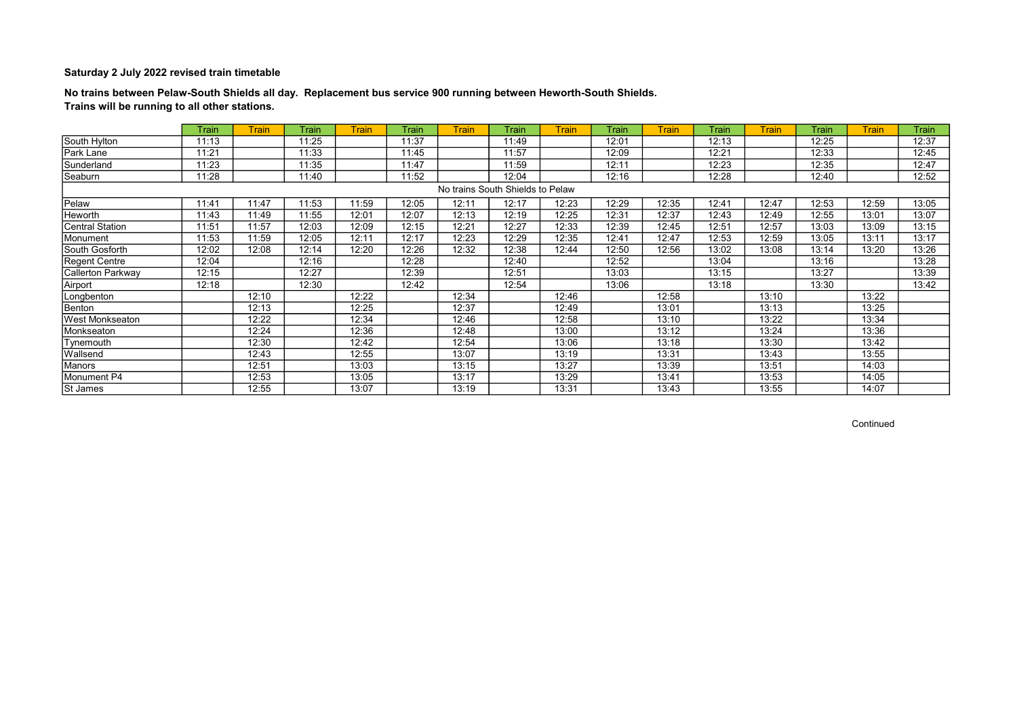## No trains between Pelaw-South Shields all day. Replacement bus service 900 running between Heworth-South Shields. Trains will be running to all other stations.

|                        | Train | <b>Train</b> | <b>Train</b> | <b>Train</b> | Train | <b>Train</b> | Train                            | <b>Train</b> | Train | <b>Train</b> | Train | <b>Train</b> | Train | <b>Train</b> | Train |
|------------------------|-------|--------------|--------------|--------------|-------|--------------|----------------------------------|--------------|-------|--------------|-------|--------------|-------|--------------|-------|
| South Hylton           | 11:13 |              | 11:25        |              | 11:37 |              | 11:49                            |              | 12:01 |              | 12:13 |              | 12:25 |              | 12:37 |
| Park Lane              | 11:21 |              | 11:33        |              | 11:45 |              | 11:57                            |              | 12:09 |              | 12:21 |              | 12:33 |              | 12:45 |
| Sunderland             | 11:23 |              | 11:35        |              | 11:47 |              | 11:59                            |              | 12:11 |              | 12:23 |              | 12:35 |              | 12:47 |
| Seaburn                | 11:28 |              | 11:40        |              | 11:52 |              | 12:04                            |              | 12:16 |              | 12:28 |              | 12:40 |              | 12:52 |
|                        |       |              |              |              |       |              | No trains South Shields to Pelaw |              |       |              |       |              |       |              |       |
| Pelaw                  | 11:41 | 11:47        | 11:53        | 11:59        | 12:05 | 12:11        | 12:17                            | 12:23        | 12:29 | 12:35        | 12:41 | 12:47        | 12:53 | 12:59        | 13:05 |
| Heworth                | 11:43 | 11:49        | 11:55        | 12:01        | 12:07 | 12:13        | 12:19                            | 12:25        | 12:31 | 12:37        | 12:43 | 12:49        | 12:55 | 13:01        | 13:07 |
| <b>Central Station</b> | 11:51 | 11:57        | 12:03        | 12:09        | 12:15 | 12:21        | 12:27                            | 12:33        | 12:39 | 12:45        | 12:51 | 12:57        | 13:03 | 13:09        | 13:15 |
| Monument               | 11:53 | 11:59        | 12:05        | 12:11        | 12:17 | 12:23        | 12:29                            | 12:35        | 12:41 | 12:47        | 12:53 | 12:59        | 13:05 | 13:11        | 13:17 |
| South Gosforth         | 12:02 | 12:08        | 12:14        | 12:20        | 12:26 | 12:32        | 12:38                            | 12:44        | 12:50 | 12:56        | 13:02 | 13:08        | 13:14 | 13:20        | 13:26 |
| <b>Regent Centre</b>   | 12:04 |              | 12:16        |              | 12:28 |              | 12:40                            |              | 12:52 |              | 13:04 |              | 13:16 |              | 13:28 |
| Callerton Parkway      | 12:15 |              | 12:27        |              | 12:39 |              | 12:51                            |              | 13:03 |              | 13:15 |              | 13:27 |              | 13:39 |
| Airport                | 12:18 |              | 12:30        |              | 12:42 |              | 12:54                            |              | 13:06 |              | 13:18 |              | 13:30 |              | 13:42 |
| Longbenton             |       | 12:10        |              | 12:22        |       | 12:34        |                                  | 12:46        |       | 12:58        |       | 13:10        |       | 13:22        |       |
| Benton                 |       | 12:13        |              | 12:25        |       | 12:37        |                                  | 12:49        |       | 13:01        |       | 13:13        |       | 13:25        |       |
| West Monkseaton        |       | 12:22        |              | 12:34        |       | 12:46        |                                  | 12:58        |       | 13:10        |       | 13:22        |       | 13:34        |       |
| Monkseaton             |       | 12:24        |              | 12:36        |       | 12:48        |                                  | 13:00        |       | 13:12        |       | 13:24        |       | 13:36        |       |
| Tynemouth              |       | 12:30        |              | 12:42        |       | 12:54        |                                  | 13:06        |       | 13:18        |       | 13:30        |       | 13:42        |       |
| Wallsend               |       | 12:43        |              | 12:55        |       | 13:07        |                                  | 13:19        |       | 13:31        |       | 13:43        |       | 13:55        |       |
| Manors                 |       | 12:51        |              | 13:03        |       | 13:15        |                                  | 13:27        |       | 13:39        |       | 13:51        |       | 14:03        |       |
| Monument P4            |       | 12:53        |              | 13:05        |       | 13:17        |                                  | 13:29        |       | 13:41        |       | 13:53        |       | 14:05        |       |
| St James               |       | 12:55        |              | 13:07        |       | 13:19        |                                  | 13:31        |       | 13:43        |       | 13:55        |       | 14:07        |       |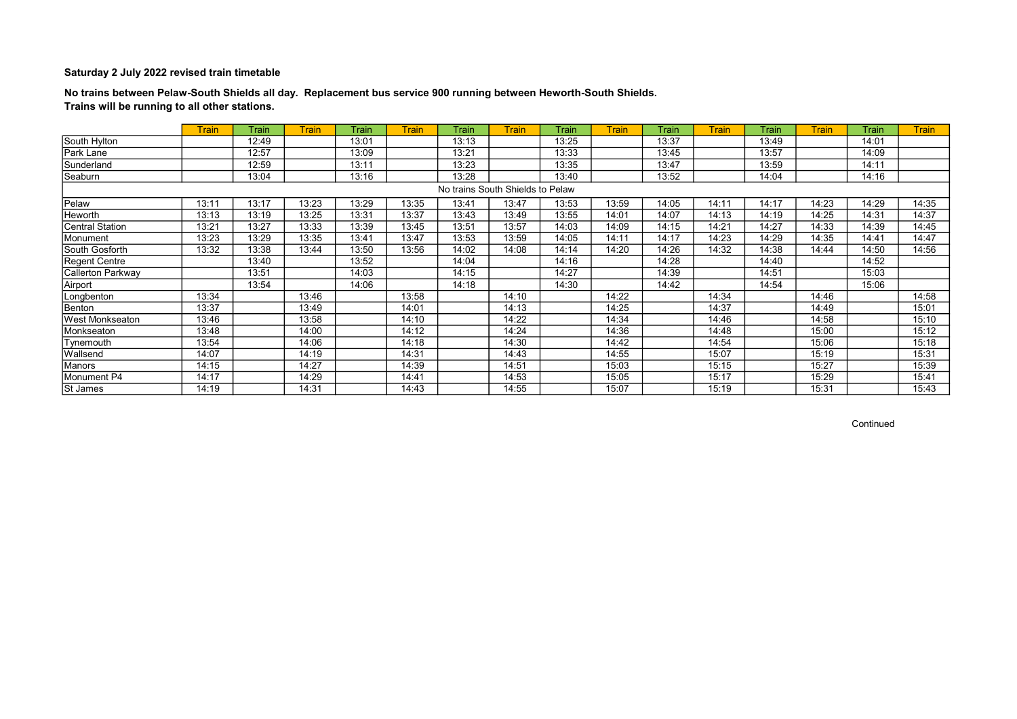## No trains between Pelaw-South Shields all day. Replacement bus service 900 running between Heworth-South Shields. Trains will be running to all other stations.

|                        | <b>Train</b> | Train | <b>Train</b> | Train | <b>Train</b> | Train | <b>Train</b>                     | Train | <b>Train</b> | Train | <b>Train</b> | Train | <b>Train</b> | Train | <b>Train</b> |
|------------------------|--------------|-------|--------------|-------|--------------|-------|----------------------------------|-------|--------------|-------|--------------|-------|--------------|-------|--------------|
| South Hylton           |              | 12:49 |              | 13:01 |              | 13:13 |                                  | 13:25 |              | 13:37 |              | 13:49 |              | 14:01 |              |
| Park Lane              |              | 12:57 |              | 13:09 |              | 13:21 |                                  | 13:33 |              | 13:45 |              | 13:57 |              | 14:09 |              |
| Sunderland             |              | 12:59 |              | 13:11 |              | 13:23 |                                  | 13:35 |              | 13:47 |              | 13:59 |              | 14:11 |              |
| Seaburn                |              | 13:04 |              | 13:16 |              | 13:28 |                                  | 13:40 |              | 13:52 |              | 14:04 |              | 14:16 |              |
|                        |              |       |              |       |              |       | No trains South Shields to Pelaw |       |              |       |              |       |              |       |              |
| Pelaw                  | 13:11        | 13:17 | 13:23        | 13:29 | 13:35        | 13:41 | 13:47                            | 13:53 | 13:59        | 14:05 | 14:11        | 14:17 | 14:23        | 14:29 | 14:35        |
| Heworth                | 13:13        | 13:19 | 13:25        | 13:31 | 13:37        | 13:43 | 13:49                            | 13:55 | 14:01        | 14:07 | 14:13        | 14:19 | 14:25        | 14:31 | 14:37        |
| Central Station        | 13:21        | 13:27 | 13:33        | 13:39 | 13:45        | 13:51 | 13:57                            | 14:03 | 14:09        | 14:15 | 14:21        | 14:27 | 14:33        | 14:39 | 14:45        |
| Monument               | 13:23        | 13:29 | 13:35        | 13:41 | 13:47        | 13:53 | 13:59                            | 14:05 | 14:11        | 14:17 | 14:23        | 14:29 | 14:35        | 14:41 | 14:47        |
| South Gosforth         | 13:32        | 13:38 | 13:44        | 13:50 | 13:56        | 14:02 | 14:08                            | 14:14 | 14:20        | 14:26 | 14:32        | 14:38 | 14:44        | 14:50 | 14:56        |
| Regent Centre          |              | 13:40 |              | 13:52 |              | 14:04 |                                  | 14:16 |              | 14:28 |              | 14:40 |              | 14:52 |              |
| Callerton Parkway      |              | 13:51 |              | 14:03 |              | 14:15 |                                  | 14:27 |              | 14:39 |              | 14:51 |              | 15:03 |              |
| Airport                |              | 13:54 |              | 14:06 |              | 14:18 |                                  | 14:30 |              | 14:42 |              | 14:54 |              | 15:06 |              |
| Longbenton             | 13:34        |       | 13:46        |       | 13:58        |       | 14:10                            |       | 14:22        |       | 14:34        |       | 14:46        |       | 14:58        |
| Benton                 | 13:37        |       | 13:49        |       | 14:01        |       | 14:13                            |       | 14:25        |       | 14:37        |       | 14:49        |       | 15:01        |
| <b>West Monkseaton</b> | 13:46        |       | 13:58        |       | 14:10        |       | 14:22                            |       | 14:34        |       | 14:46        |       | 14:58        |       | 15:10        |
| Monkseaton             | 13:48        |       | 14:00        |       | 14:12        |       | 14:24                            |       | 14:36        |       | 14:48        |       | 15:00        |       | 15:12        |
| Tynemouth              | 13:54        |       | 14:06        |       | 14:18        |       | 14:30                            |       | 14:42        |       | 14:54        |       | 15:06        |       | 15:18        |
| Wallsend               | 14:07        |       | 14:19        |       | 14:31        |       | 14:43                            |       | 14:55        |       | 15:07        |       | 15:19        |       | 15:31        |
| Manors                 | 14:15        |       | 14:27        |       | 14:39        |       | 14:51                            |       | 15:03        |       | 15:15        |       | 15:27        |       | 15:39        |
| Monument P4            | 14:17        |       | 14:29        |       | 14:41        |       | 14:53                            |       | 15:05        |       | 15:17        |       | 15:29        |       | 15:41        |
| St James               | 14:19        |       | 14:31        |       | 14:43        |       | 14:55                            |       | 15:07        |       | 15:19        |       | 15:31        |       | 15:43        |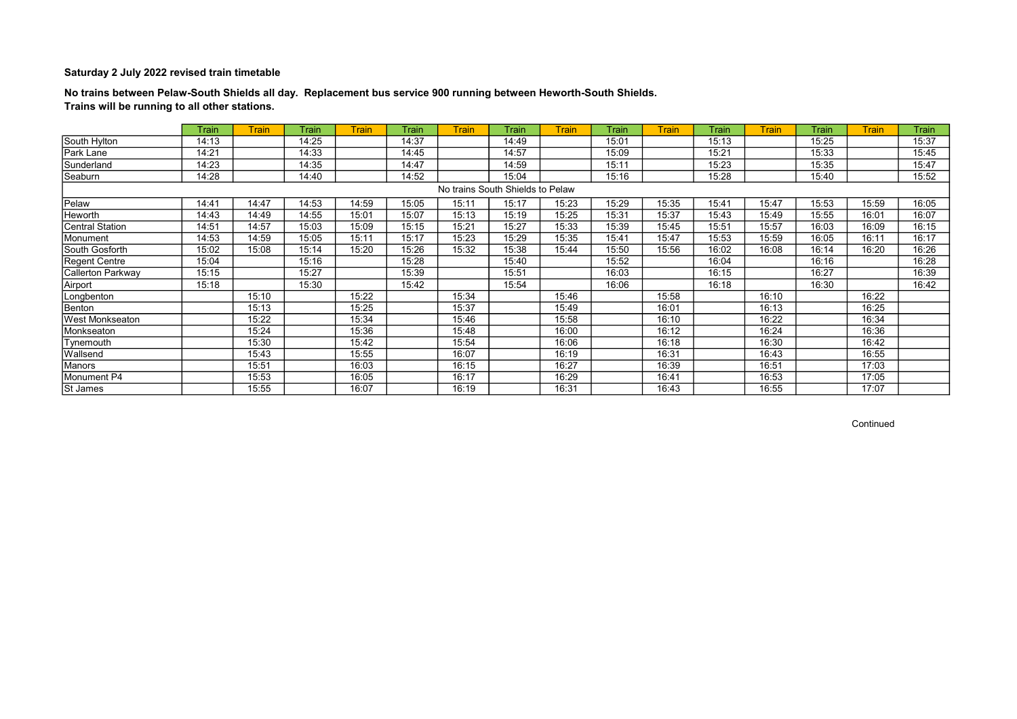## No trains between Pelaw-South Shields all day. Replacement bus service 900 running between Heworth-South Shields. Trains will be running to all other stations.

|                        | Train | <b>Train</b> | <b>Train</b> | <b>Train</b> | Train | <b>Train</b> | Train                            | <b>Train</b> | Train | <b>Train</b> | Train | <b>Train</b> | Train | <b>Train</b> | Train |
|------------------------|-------|--------------|--------------|--------------|-------|--------------|----------------------------------|--------------|-------|--------------|-------|--------------|-------|--------------|-------|
| South Hylton           | 14:13 |              | 14:25        |              | 14:37 |              | 14:49                            |              | 15:01 |              | 15:13 |              | 15:25 |              | 15:37 |
| Park Lane              | 14:21 |              | 14:33        |              | 14:45 |              | 14:57                            |              | 15:09 |              | 15:21 |              | 15:33 |              | 15:45 |
| Sunderland             | 14:23 |              | 14:35        |              | 14:47 |              | 14:59                            |              | 15:11 |              | 15:23 |              | 15:35 |              | 15:47 |
| Seaburn                | 14:28 |              | 14:40        |              | 14:52 |              | 15:04                            |              | 15:16 |              | 15:28 |              | 15:40 |              | 15:52 |
|                        |       |              |              |              |       |              | No trains South Shields to Pelaw |              |       |              |       |              |       |              |       |
| Pelaw                  | 14:41 | 14:47        | 14:53        | 14:59        | 15:05 | 15:11        | 15:17                            | 15:23        | 15:29 | 15:35        | 15:41 | 15:47        | 15:53 | 15:59        | 16:05 |
| Heworth                | 14:43 | 14:49        | 14:55        | 15:01        | 15:07 | 15:13        | 15:19                            | 15:25        | 15:31 | 15:37        | 15:43 | 15:49        | 15:55 | 16:01        | 16:07 |
| <b>Central Station</b> | 14:51 | 14:57        | 15:03        | 15:09        | 15:15 | 15:21        | 15:27                            | 15:33        | 15:39 | 15:45        | 15:51 | 15:57        | 16:03 | 16:09        | 16:15 |
| Monument               | 14:53 | 14:59        | 15:05        | 15:11        | 15:17 | 15:23        | 15:29                            | 15:35        | 15:41 | 15:47        | 15:53 | 15:59        | 16:05 | 16:11        | 16:17 |
| South Gosforth         | 15:02 | 15:08        | 15:14        | 15:20        | 15:26 | 15:32        | 15:38                            | 15:44        | 15:50 | 15:56        | 16:02 | 16:08        | 16:14 | 16:20        | 16:26 |
| <b>Regent Centre</b>   | 15:04 |              | 15:16        |              | 15:28 |              | 15:40                            |              | 15:52 |              | 16:04 |              | 16:16 |              | 16:28 |
| Callerton Parkway      | 15:15 |              | 15:27        |              | 15:39 |              | 15:51                            |              | 16:03 |              | 16:15 |              | 16:27 |              | 16:39 |
| Airport                | 15:18 |              | 15:30        |              | 15:42 |              | 15:54                            |              | 16:06 |              | 16:18 |              | 16:30 |              | 16:42 |
| Longbenton             |       | 15:10        |              | 15:22        |       | 15:34        |                                  | 15:46        |       | 15:58        |       | 16:10        |       | 16:22        |       |
| Benton                 |       | 15:13        |              | 15:25        |       | 15:37        |                                  | 15:49        |       | 16:01        |       | 16:13        |       | 16:25        |       |
| West Monkseaton        |       | 15:22        |              | 15:34        |       | 15:46        |                                  | 15:58        |       | 16:10        |       | 16:22        |       | 16:34        |       |
| Monkseaton             |       | 15:24        |              | 15:36        |       | 15:48        |                                  | 16:00        |       | 16:12        |       | 16:24        |       | 16:36        |       |
| Tynemouth              |       | 15:30        |              | 15:42        |       | 15:54        |                                  | 16:06        |       | 16:18        |       | 16:30        |       | 16:42        |       |
| Wallsend               |       | 15:43        |              | 15:55        |       | 16:07        |                                  | 16:19        |       | 16:31        |       | 16:43        |       | 16:55        |       |
| Manors                 |       | 15:51        |              | 16:03        |       | 16:15        |                                  | 16:27        |       | 16:39        |       | 16:51        |       | 17:03        |       |
| Monument P4            |       | 15:53        |              | 16:05        |       | 16:17        |                                  | 16:29        |       | 16:41        |       | 16:53        |       | 17:05        |       |
| St James               |       | 15:55        |              | 16:07        |       | 16:19        |                                  | 16:31        |       | 16:43        |       | 16:55        |       | 17:07        |       |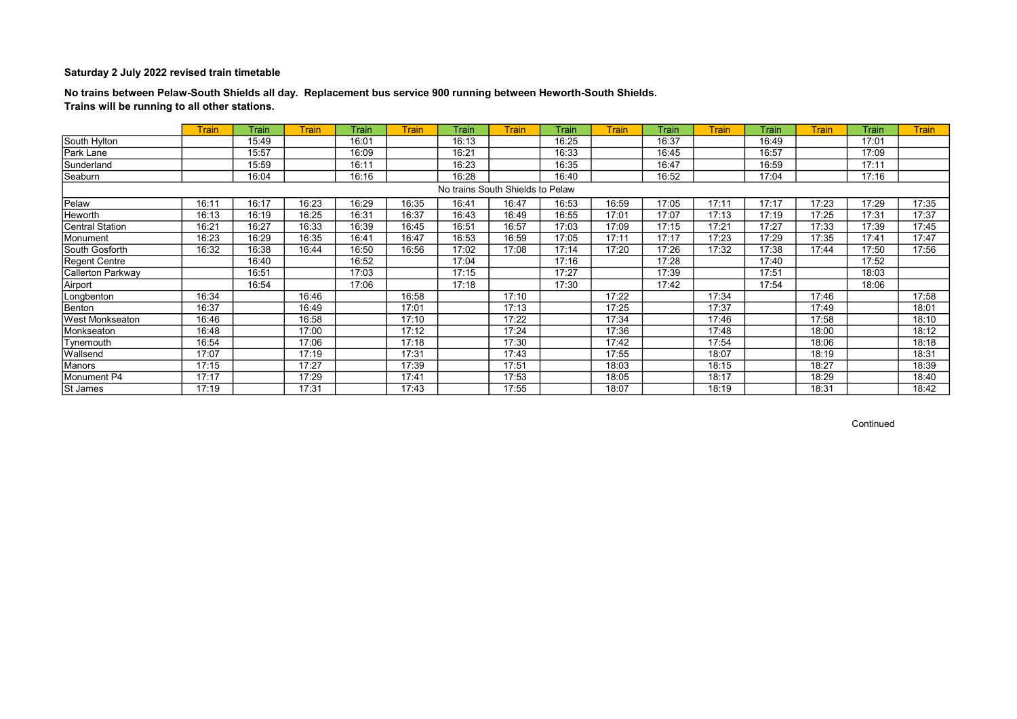## No trains between Pelaw-South Shields all day. Replacement bus service 900 running between Heworth-South Shields. Trains will be running to all other stations.

|                          | <b>Train</b> | Train | <b>Train</b> | Train | <b>Train</b> | Train                            | <b>Train</b> | Train | <b>Train</b> | Train | <b>Train</b> | Train | <b>Train</b> | Train | <b>Train</b> |
|--------------------------|--------------|-------|--------------|-------|--------------|----------------------------------|--------------|-------|--------------|-------|--------------|-------|--------------|-------|--------------|
| South Hylton             |              | 15:49 |              | 16:01 |              | 16:13                            |              | 16:25 |              | 16:37 |              | 16:49 |              | 17:01 |              |
| Park Lane                |              | 15:57 |              | 16:09 |              | 16:21                            |              | 16:33 |              | 16:45 |              | 16:57 |              | 17:09 |              |
| Sunderland               |              | 15:59 |              | 16:11 |              | 16:23                            |              | 16:35 |              | 16:47 |              | 16:59 |              | 17:11 |              |
| Seaburn                  |              | 16:04 |              | 16:16 |              | 16:28                            |              | 16:40 |              | 16:52 |              | 17:04 |              | 17:16 |              |
|                          |              |       |              |       |              | No trains South Shields to Pelaw |              |       |              |       |              |       |              |       |              |
| Pelaw                    | 16:11        | 16:17 | 16:23        | 16:29 | 16:35        | 16:41                            | 16:47        | 16:53 | 16:59        | 17:05 | 17:11        | 17:17 | 17:23        | 17:29 | 17:35        |
| Heworth                  | 16:13        | 16:19 | 16:25        | 16:31 | 16:37        | 16:43                            | 16:49        | 16:55 | 17:01        | 17:07 | 17:13        | 17:19 | 17:25        | 17:31 | 17:37        |
| Central Station          | 16:21        | 16:27 | 16:33        | 16:39 | 16:45        | 16:51                            | 16:57        | 17:03 | 17:09        | 17:15 | 17:21        | 17:27 | 17:33        | 17:39 | 17:45        |
| Monument                 | 16:23        | 16:29 | 16:35        | 16:41 | 16:47        | 16:53                            | 16:59        | 17:05 | 17:11        | 17:17 | 17:23        | 17:29 | 17:35        | 17:41 | 17:47        |
| South Gosforth           | 16:32        | 16:38 | 16:44        | 16:50 | 16:56        | 17:02                            | 17:08        | 17:14 | 17:20        | 17:26 | 17:32        | 17:38 | 17:44        | 17:50 | 17:56        |
| <b>Regent Centre</b>     |              | 16:40 |              | 16:52 |              | 17:04                            |              | 17:16 |              | 17:28 |              | 17:40 |              | 17:52 |              |
| <b>Callerton Parkway</b> |              | 16:51 |              | 17:03 |              | 17:15                            |              | 17:27 |              | 17:39 |              | 17:51 |              | 18:03 |              |
| Airport                  |              | 16:54 |              | 17:06 |              | 17:18                            |              | 17:30 |              | 17:42 |              | 17:54 |              | 18:06 |              |
| Longbenton               | 16:34        |       | 16:46        |       | 16:58        |                                  | 17:10        |       | 17:22        |       | 17:34        |       | 17:46        |       | 17:58        |
| Benton                   | 16:37        |       | 16:49        |       | 17:01        |                                  | 17:13        |       | 17:25        |       | 17:37        |       | 17:49        |       | 18:01        |
| <b>West Monkseaton</b>   | 16:46        |       | 16:58        |       | 17:10        |                                  | 17:22        |       | 17:34        |       | 17:46        |       | 17:58        |       | 18:10        |
| Monkseaton               | 16:48        |       | 17:00        |       | 17:12        |                                  | 17:24        |       | 17:36        |       | 17:48        |       | 18:00        |       | 18:12        |
| Tynemouth                | 16:54        |       | 17:06        |       | 17:18        |                                  | 17:30        |       | 17:42        |       | 17:54        |       | 18:06        |       | 18:18        |
| Wallsend                 | 17:07        |       | 17:19        |       | 17:31        |                                  | 17:43        |       | 17:55        |       | 18:07        |       | 18:19        |       | 18:31        |
| Manors                   | 17:15        |       | 17:27        |       | 17:39        |                                  | 17:51        |       | 18:03        |       | 18:15        |       | 18:27        |       | 18:39        |
| Monument P4              | 17:17        |       | 17:29        |       | 17:41        |                                  | 17:53        |       | 18:05        |       | 18:17        |       | 18:29        |       | 18:40        |
| St James                 | 17:19        |       | 17:31        |       | 17:43        |                                  | 17:55        |       | 18:07        |       | 18:19        |       | 18:31        |       | 18:42        |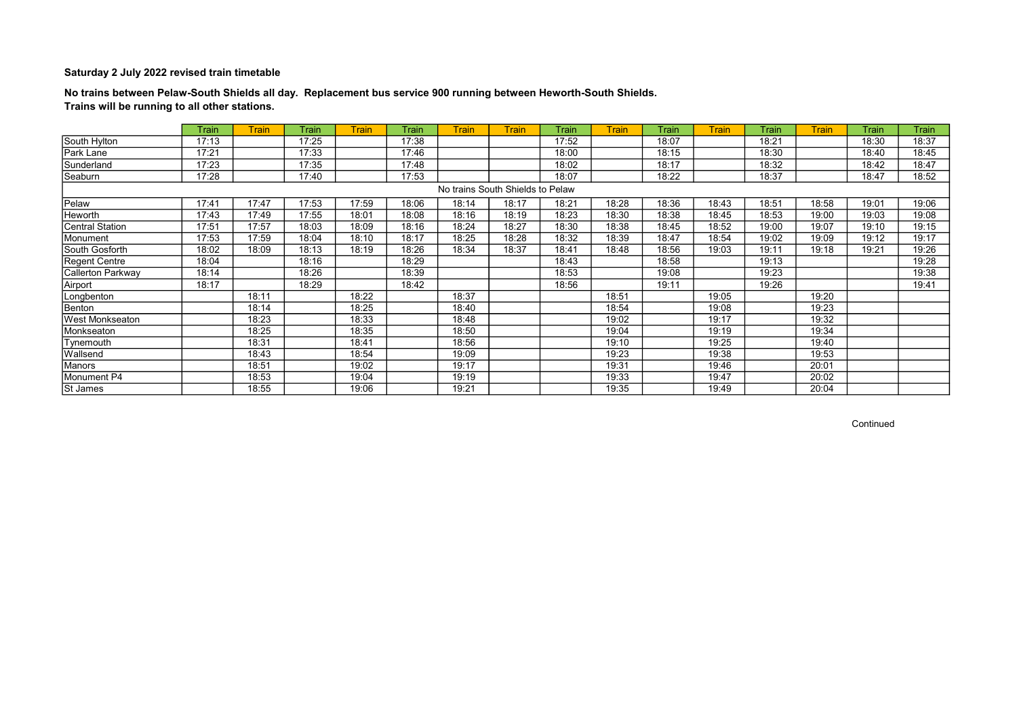## No trains between Pelaw-South Shields all day. Replacement bus service 900 running between Heworth-South Shields. Trains will be running to all other stations.

|                          | Train | <b>Train</b> | Train | <b>Train</b> | Train | <b>Train</b>                     | <b>Train</b> | Train | <b>Train</b> | Train | <b>Train</b> | <b>Train</b> | <b>Train</b> | Train | Train |
|--------------------------|-------|--------------|-------|--------------|-------|----------------------------------|--------------|-------|--------------|-------|--------------|--------------|--------------|-------|-------|
| South Hylton             | 17:13 |              | 17:25 |              | 17:38 |                                  |              | 17:52 |              | 18:07 |              | 18:21        |              | 18:30 | 18:37 |
| Park Lane                | 17:21 |              | 17:33 |              | 17:46 |                                  |              | 18:00 |              | 18:15 |              | 18:30        |              | 18:40 | 18:45 |
| Sunderland               | 17:23 |              | 17:35 |              | 17:48 |                                  |              | 18:02 |              | 18:17 |              | 18:32        |              | 18:42 | 18:47 |
| Seaburn                  | 17:28 |              | 17:40 |              | 17:53 |                                  |              | 18:07 |              | 18:22 |              | 18:37        |              | 18:47 | 18:52 |
|                          |       |              |       |              |       | No trains South Shields to Pelaw |              |       |              |       |              |              |              |       |       |
| Pelaw                    | 17:41 | 17:47        | 17:53 | 17:59        | 18:06 | 18:14                            | 18:17        | 18:21 | 18:28        | 18:36 | 18:43        | 18:51        | 18:58        | 19:01 | 19:06 |
| Heworth                  | 17:43 | 17:49        | 17:55 | 18:01        | 18:08 | 18:16                            | 18:19        | 18:23 | 18:30        | 18:38 | 18:45        | 18:53        | 19:00        | 19:03 | 19:08 |
| <b>Central Station</b>   | 17:51 | 17:57        | 18:03 | 18:09        | 18:16 | 18:24                            | 18:27        | 18:30 | 18:38        | 18:45 | 18:52        | 19:00        | 19:07        | 19:10 | 19:15 |
| Monument                 | 17:53 | 17:59        | 18:04 | 18:10        | 18:17 | 18:25                            | 18:28        | 18:32 | 18:39        | 18:47 | 18:54        | 19:02        | 19:09        | 19:12 | 19:17 |
| South Gosforth           | 18:02 | 18:09        | 18:13 | 18:19        | 18:26 | 18:34                            | 18:37        | 18:41 | 18:48        | 18:56 | 19:03        | 19:11        | 19:18        | 19:21 | 19:26 |
| <b>Regent Centre</b>     | 18:04 |              | 18:16 |              | 18:29 |                                  |              | 18:43 |              | 18:58 |              | 19:13        |              |       | 19:28 |
| <b>Callerton Parkway</b> | 18:14 |              | 18:26 |              | 18:39 |                                  |              | 18:53 |              | 19:08 |              | 19:23        |              |       | 19:38 |
| Airport                  | 18:17 |              | 18:29 |              | 18:42 |                                  |              | 18:56 |              | 19:11 |              | 19:26        |              |       | 19:41 |
| Longbenton               |       | 18:11        |       | 18:22        |       | 18:37                            |              |       | 18:51        |       | 19:05        |              | 19:20        |       |       |
| Benton                   |       | 18:14        |       | 18:25        |       | 18:40                            |              |       | 18:54        |       | 19:08        |              | 19:23        |       |       |
| West Monkseaton          |       | 18:23        |       | 18:33        |       | 18:48                            |              |       | 19:02        |       | 19:17        |              | 19:32        |       |       |
| Monkseaton               |       | 18:25        |       | 18:35        |       | 18:50                            |              |       | 19:04        |       | 19:19        |              | 19:34        |       |       |
| Tynemouth                |       | 18:31        |       | 18:41        |       | 18:56                            |              |       | 19:10        |       | 19:25        |              | 19:40        |       |       |
| Wallsend                 |       | 18:43        |       | 18:54        |       | 19:09                            |              |       | 19:23        |       | 19:38        |              | 19:53        |       |       |
| Manors                   |       | 18:51        |       | 19:02        |       | 19:17                            |              |       | 19:31        |       | 19:46        |              | 20:01        |       |       |
| Monument P4              |       | 18:53        |       | 19:04        |       | 19:19                            |              |       | 19:33        |       | 19:47        |              | 20:02        |       |       |
| St James                 |       | 18:55        |       | 19:06        |       | 19:21                            |              |       | 19:35        |       | 19:49        |              | 20:04        |       |       |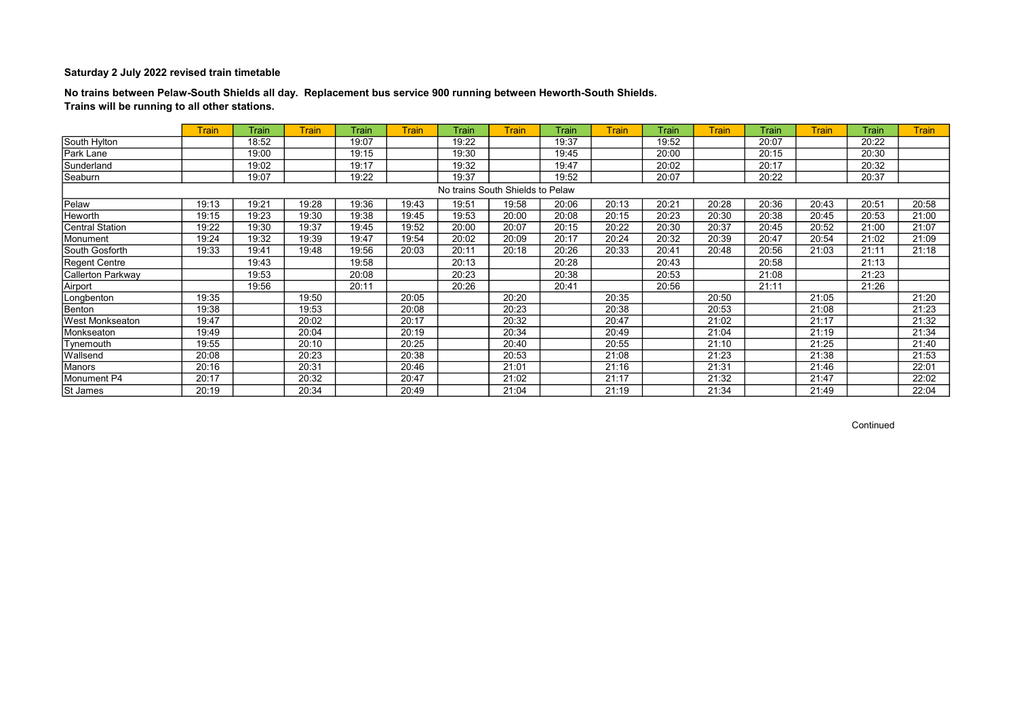## No trains between Pelaw-South Shields all day. Replacement bus service 900 running between Heworth-South Shields. Trains will be running to all other stations.

|                          | <b>Train</b> | Train | Train | Train | <b>Train</b> | Train                            | <b>Train</b> | Train | <b>Train</b> | Train | <b>Train</b> | Train | <b>Train</b> | Train | <b>Train</b> |
|--------------------------|--------------|-------|-------|-------|--------------|----------------------------------|--------------|-------|--------------|-------|--------------|-------|--------------|-------|--------------|
| South Hylton             |              | 18:52 |       | 19:07 |              | 19:22                            |              | 19:37 |              | 19:52 |              | 20:07 |              | 20:22 |              |
| Park Lane                |              | 19:00 |       | 19:15 |              | 19:30                            |              | 19:45 |              | 20:00 |              | 20:15 |              | 20:30 |              |
| Sunderland               |              | 19:02 |       | 19:17 |              | 19:32                            |              | 19:47 |              | 20:02 |              | 20:17 |              | 20:32 |              |
| Seaburn                  |              | 19:07 |       | 19:22 |              | 19:37                            |              | 19:52 |              | 20:07 |              | 20:22 |              | 20:37 |              |
|                          |              |       |       |       |              | No trains South Shields to Pelaw |              |       |              |       |              |       |              |       |              |
| Pelaw                    | 19:13        | 19:21 | 19:28 | 19:36 | 19:43        | 19:51                            | 19:58        | 20:06 | 20:13        | 20:21 | 20:28        | 20:36 | 20:43        | 20:51 | 20:58        |
| Heworth                  | 19:15        | 19:23 | 19:30 | 19:38 | 19:45        | 19:53                            | 20:00        | 20:08 | 20:15        | 20:23 | 20:30        | 20:38 | 20:45        | 20:53 | 21:00        |
| Central Station          | 19:22        | 19:30 | 19:37 | 19:45 | 19:52        | 20:00                            | 20:07        | 20:15 | 20:22        | 20:30 | 20:37        | 20:45 | 20:52        | 21:00 | 21:07        |
| Monument                 | 19:24        | 19:32 | 19:39 | 19:47 | 19:54        | 20:02                            | 20:09        | 20:17 | 20:24        | 20:32 | 20:39        | 20:47 | 20:54        | 21:02 | 21:09        |
| South Gosforth           | 19:33        | 19:41 | 19:48 | 19:56 | 20:03        | 20:11                            | 20:18        | 20:26 | 20:33        | 20:41 | 20:48        | 20:56 | 21:03        | 21:11 | 21:18        |
| <b>Regent Centre</b>     |              | 19:43 |       | 19:58 |              | 20:13                            |              | 20:28 |              | 20:43 |              | 20:58 |              | 21:13 |              |
| <b>Callerton Parkway</b> |              | 19:53 |       | 20:08 |              | 20:23                            |              | 20:38 |              | 20:53 |              | 21:08 |              | 21:23 |              |
| Airport                  |              | 19:56 |       | 20:11 |              | 20:26                            |              | 20:41 |              | 20:56 |              | 21:11 |              | 21:26 |              |
| Longbenton               | 19:35        |       | 19:50 |       | 20:05        |                                  | 20:20        |       | 20:35        |       | 20:50        |       | 21:05        |       | 21:20        |
| Benton                   | 19:38        |       | 19:53 |       | 20:08        |                                  | 20:23        |       | 20:38        |       | 20:53        |       | 21:08        |       | 21:23        |
| West Monkseaton          | 19:47        |       | 20:02 |       | 20:17        |                                  | 20:32        |       | 20:47        |       | 21:02        |       | 21:17        |       | 21:32        |
| Monkseaton               | 19:49        |       | 20:04 |       | 20:19        |                                  | 20:34        |       | 20:49        |       | 21:04        |       | 21:19        |       | 21:34        |
| Tynemouth                | 19:55        |       | 20:10 |       | 20:25        |                                  | 20:40        |       | 20:55        |       | 21:10        |       | 21:25        |       | 21:40        |
| Wallsend                 | 20:08        |       | 20:23 |       | 20:38        |                                  | 20:53        |       | 21:08        |       | 21:23        |       | 21:38        |       | 21:53        |
| Manors                   | 20:16        |       | 20:31 |       | 20:46        |                                  | 21:01        |       | 21:16        |       | 21:31        |       | 21:46        |       | 22:01        |
| Monument P4              | 20:17        |       | 20:32 |       | 20:47        |                                  | 21:02        |       | 21:17        |       | 21:32        |       | 21:47        |       | 22:02        |
| St James                 | 20:19        |       | 20:34 |       | 20:49        |                                  | 21:04        |       | 21:19        |       | 21:34        |       | 21:49        |       | 22:04        |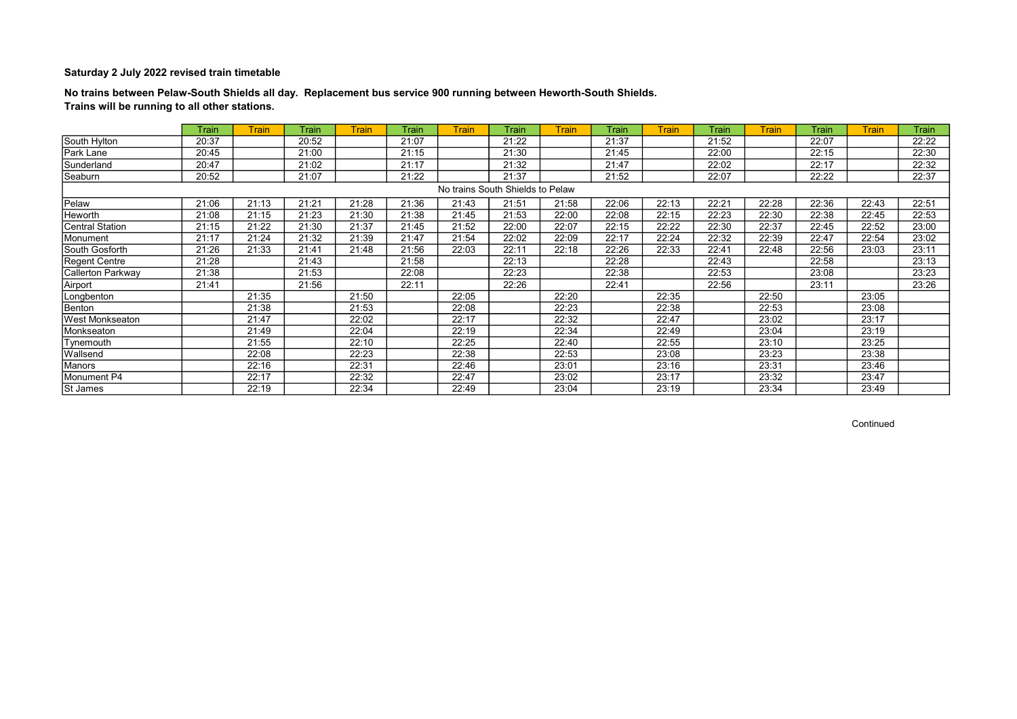## No trains between Pelaw-South Shields all day. Replacement bus service 900 running between Heworth-South Shields. Trains will be running to all other stations.

|                        | Train | <b>Train</b> | Train | <b>Train</b> | Train | <b>Train</b>                     | Train | <b>Train</b> | Train | <b>Train</b> | Train | <b>Train</b> | Train | <b>Train</b> | <b>Train</b> |
|------------------------|-------|--------------|-------|--------------|-------|----------------------------------|-------|--------------|-------|--------------|-------|--------------|-------|--------------|--------------|
| South Hylton           | 20:37 |              | 20:52 |              | 21:07 |                                  | 21:22 |              | 21:37 |              | 21:52 |              | 22:07 |              | 22:22        |
| Park Lane              | 20:45 |              | 21:00 |              | 21:15 |                                  | 21:30 |              | 21:45 |              | 22:00 |              | 22:15 |              | 22:30        |
| Sunderland             | 20:47 |              | 21:02 |              | 21:17 |                                  | 21:32 |              | 21:47 |              | 22:02 |              | 22:17 |              | 22:32        |
| Seaburn                | 20:52 |              | 21:07 |              | 21:22 |                                  | 21:37 |              | 21:52 |              | 22:07 |              | 22:22 |              | 22:37        |
|                        |       |              |       |              |       | No trains South Shields to Pelaw |       |              |       |              |       |              |       |              |              |
| Pelaw                  | 21:06 | 21:13        | 21:21 | 21:28        | 21:36 | 21:43                            | 21:51 | 21:58        | 22:06 | 22:13        | 22:21 | 22:28        | 22:36 | 22:43        | 22:51        |
| Heworth                | 21:08 | 21:15        | 21:23 | 21:30        | 21:38 | 21:45                            | 21:53 | 22:00        | 22:08 | 22:15        | 22:23 | 22:30        | 22:38 | 22:45        | 22:53        |
| <b>Central Station</b> | 21:15 | 21:22        | 21:30 | 21:37        | 21:45 | 21:52                            | 22:00 | 22:07        | 22:15 | 22:22        | 22:30 | 22:37        | 22:45 | 22:52        | 23:00        |
| Monument               | 21:17 | 21:24        | 21:32 | 21:39        | 21:47 | 21:54                            | 22:02 | 22:09        | 22:17 | 22:24        | 22:32 | 22:39        | 22:47 | 22:54        | 23:02        |
| South Gosforth         | 21:26 | 21:33        | 21:41 | 21:48        | 21:56 | 22:03                            | 22:11 | 22:18        | 22:26 | 22:33        | 22:41 | 22:48        | 22:56 | 23:03        | 23:11        |
| <b>Regent Centre</b>   | 21:28 |              | 21:43 |              | 21:58 |                                  | 22:13 |              | 22:28 |              | 22:43 |              | 22:58 |              | 23:13        |
| Callerton Parkway      | 21:38 |              | 21:53 |              | 22:08 |                                  | 22:23 |              | 22:38 |              | 22:53 |              | 23:08 |              | 23:23        |
| Airport                | 21:41 |              | 21:56 |              | 22:11 |                                  | 22:26 |              | 22:41 |              | 22:56 |              | 23:11 |              | 23:26        |
| Longbenton             |       | 21:35        |       | 21:50        |       | 22:05                            |       | 22:20        |       | 22:35        |       | 22:50        |       | 23:05        |              |
| Benton                 |       | 21:38        |       | 21:53        |       | 22:08                            |       | 22:23        |       | 22:38        |       | 22:53        |       | 23:08        |              |
| West Monkseaton        |       | 21:47        |       | 22:02        |       | 22:17                            |       | 22:32        |       | 22:47        |       | 23:02        |       | 23:17        |              |
| Monkseaton             |       | 21:49        |       | 22:04        |       | 22:19                            |       | 22:34        |       | 22:49        |       | 23:04        |       | 23:19        |              |
| Tynemouth              |       | 21:55        |       | 22:10        |       | 22:25                            |       | 22:40        |       | 22:55        |       | 23:10        |       | 23:25        |              |
| Wallsend               |       | 22:08        |       | 22:23        |       | 22:38                            |       | 22:53        |       | 23:08        |       | 23:23        |       | 23:38        |              |
| Manors                 |       | 22:16        |       | 22:31        |       | 22:46                            |       | 23:01        |       | 23:16        |       | 23:31        |       | 23:46        |              |
| Monument P4            |       | 22:17        |       | 22:32        |       | 22:47                            |       | 23:02        |       | 23:17        |       | 23:32        |       | 23:47        |              |
| St James               |       | 22:19        |       | 22:34        |       | 22:49                            |       | 23:04        |       | 23:19        |       | 23:34        |       | 23:49        |              |